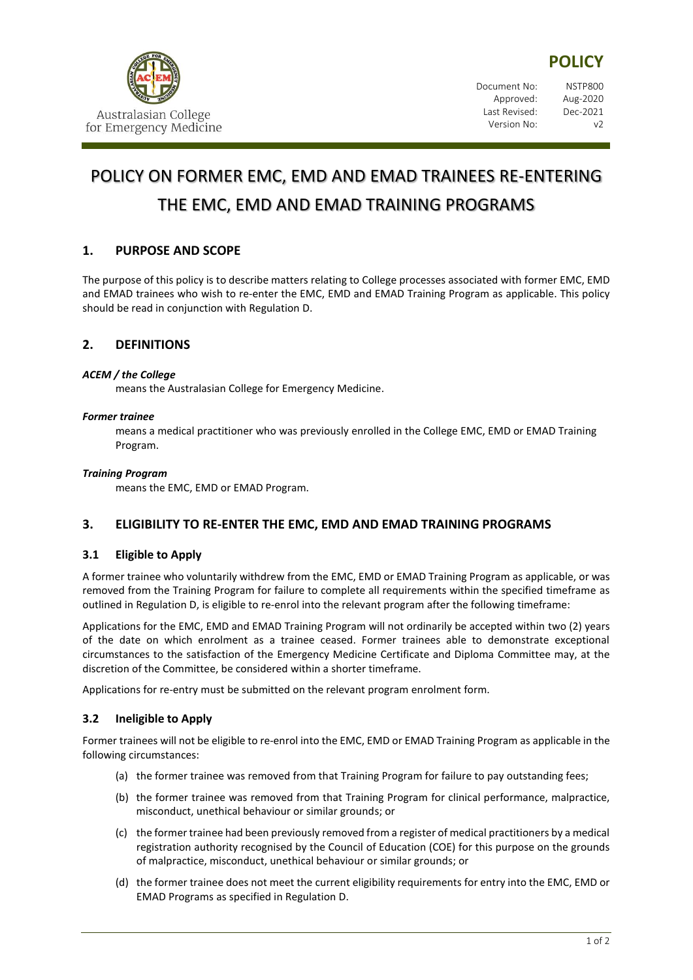#### Document No: NSTP800 Approved: Aug-2020 Last Revised: Dec-2021 Version No: v2

# POLICY ON FORMER EMC, EMD AND EMAD TRAINEES RE-ENTERING THE EMC, EMD AND EMAD TRAINING PROGRAMS

# **1. PURPOSE AND SCOPE**

The purpose of this policy is to describe matters relating to College processes associated with former EMC, EMD and EMAD trainees who wish to re-enter the EMC, EMD and EMAD Training Program as applicable. This policy should be read in conjunction with Regulation D.

# **2. DEFINITIONS**

## *ACEM / the College*

means the Australasian College for Emergency Medicine.

#### *Former trainee*

means a medical practitioner who was previously enrolled in the College EMC, EMD or EMAD Training Program.

#### *Training Program*

means the EMC, EMD or EMAD Program.

# **3. ELIGIBILITY TO RE-ENTER THE EMC, EMD AND EMAD TRAINING PROGRAMS**

## **3.1 Eligible to Apply**

A former trainee who voluntarily withdrew from the EMC, EMD or EMAD Training Program as applicable, or was removed from the Training Program for failure to complete all requirements within the specified timeframe as outlined in Regulation D, is eligible to re-enrol into the relevant program after the following timeframe:

Applications for the EMC, EMD and EMAD Training Program will not ordinarily be accepted within two (2) years of the date on which enrolment as a trainee ceased. Former trainees able to demonstrate exceptional circumstances to the satisfaction of the Emergency Medicine Certificate and Diploma Committee may, at the discretion of the Committee, be considered within a shorter timeframe.

Applications for re-entry must be submitted on the relevant program enrolment form.

## **3.2 Ineligible to Apply**

Former trainees will not be eligible to re-enrol into the EMC, EMD or EMAD Training Program as applicable in the following circumstances:

- (a) the former trainee was removed from that Training Program for failure to pay outstanding fees;
- (b) the former trainee was removed from that Training Program for clinical performance, malpractice, misconduct, unethical behaviour or similar grounds; or
- (c) the former trainee had been previously removed from a register of medical practitioners by a medical registration authority recognised by the Council of Education (COE) for this purpose on the grounds of malpractice, misconduct, unethical behaviour or similar grounds; or
- (d) the former trainee does not meet the current eligibility requirements for entry into the EMC, EMD or EMAD Programs as specified in Regulation D.